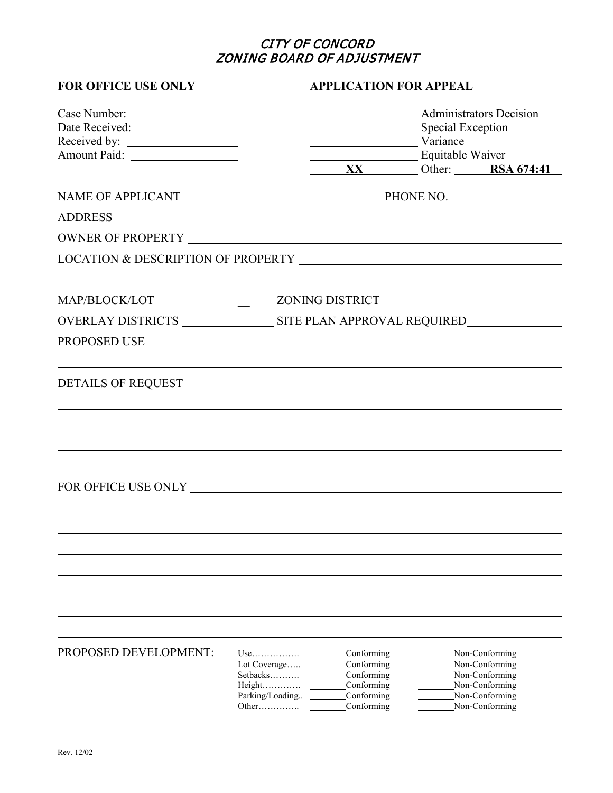# CITY OF CONCORD ZONING BOARD OF ADJUSTMENT

| <b>FOR OFFICE USE ONLY</b> | <b>APPLICATION FOR APPEAL</b>                                                                                                                                                                                                                        |
|----------------------------|------------------------------------------------------------------------------------------------------------------------------------------------------------------------------------------------------------------------------------------------------|
| Case Number:               | Administrators Decision<br>Special Exception<br>Variance<br>Equitable Waiver<br>XX Other: RSA 674:41                                                                                                                                                 |
|                            |                                                                                                                                                                                                                                                      |
|                            |                                                                                                                                                                                                                                                      |
|                            |                                                                                                                                                                                                                                                      |
|                            |                                                                                                                                                                                                                                                      |
|                            |                                                                                                                                                                                                                                                      |
|                            |                                                                                                                                                                                                                                                      |
|                            |                                                                                                                                                                                                                                                      |
|                            |                                                                                                                                                                                                                                                      |
|                            |                                                                                                                                                                                                                                                      |
|                            |                                                                                                                                                                                                                                                      |
|                            |                                                                                                                                                                                                                                                      |
|                            |                                                                                                                                                                                                                                                      |
|                            |                                                                                                                                                                                                                                                      |
|                            |                                                                                                                                                                                                                                                      |
|                            |                                                                                                                                                                                                                                                      |
| PROPOSED DEVELOPMENT:      | Conforming<br>Non-Conforming<br>$Use$<br>Conforming<br>Non-Conforming<br>Lot Coverage<br>Setbacks<br>Conforming<br>Non-Conforming<br>Non-Conforming<br>Conforming<br>Parking/Loading<br>Conforming<br>Non-Conforming<br>Non-Conforming<br>Conforming |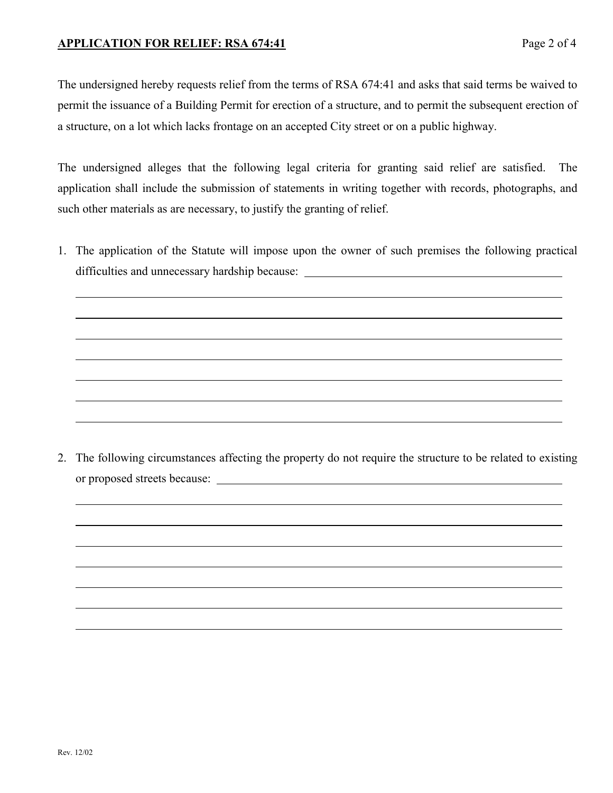### **APPLICATION FOR RELIEF: RSA 674:41**

The undersigned hereby requests relief from the terms of RSA 674:41 and asks that said terms be waived to permit the issuance of a Building Permit for erection of a structure, and to permit the subsequent erection of a structure, on a lot which lacks frontage on an accepted City street or on a public highway.

The undersigned alleges that the following legal criteria for granting said relief are satisfied. The application shall include the submission of statements in writing together with records, photographs, and such other materials as are necessary, to justify the granting of relief.

1. The application of the Statute will impose upon the owner of such premises the following practical difficulties and unnecessary hardship because:

2. The following circumstances affecting the property do not require the structure to be related to existing or proposed streets because: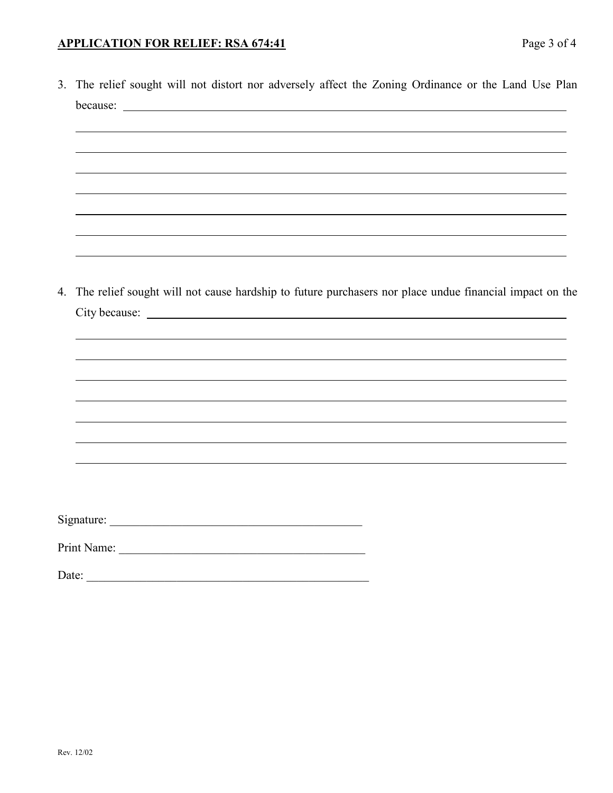### **APPLICATION FOR RELIEF: RSA 674:41**

|       | 3. The relief sought will not distort nor adversely affect the Zoning Ordinance or the Land Use Plan   |
|-------|--------------------------------------------------------------------------------------------------------|
|       |                                                                                                        |
|       |                                                                                                        |
|       |                                                                                                        |
|       |                                                                                                        |
|       |                                                                                                        |
|       |                                                                                                        |
|       |                                                                                                        |
|       |                                                                                                        |
| 4.    | The relief sought will not cause hardship to future purchasers nor place undue financial impact on the |
|       |                                                                                                        |
|       |                                                                                                        |
|       |                                                                                                        |
|       |                                                                                                        |
|       |                                                                                                        |
|       |                                                                                                        |
|       |                                                                                                        |
|       |                                                                                                        |
|       |                                                                                                        |
|       |                                                                                                        |
| Date: |                                                                                                        |